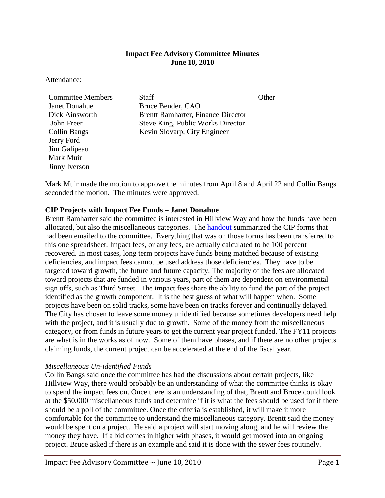## **Impact Fee Advisory Committee Minutes June 10, 2010**

Attendance:

Jerry Ford Jim Galipeau Mark Muir Jinny Iverson

**Committee Members** Staff **Staff** Other Janet Donahue Bruce Bender, CAO Dick Ainsworth Brentt Ramharter, Finance Director John Freer Steve King, Public Works Director Collin Bangs Kevin Slovarp, City Engineer

Mark Muir made the motion to approve the minutes from April 8 and April 22 and Collin Bangs seconded the motion. The minutes were approved.

# **CIP Projects with Impact Fee Funds – Janet Donahue**

Brentt Ramharter said the committee is interested in Hillview Way and how the funds have been allocated, but also the miscellaneous categories. The [handout](ftp://ftp.ci.missoula.mt.us/Documents/Mayor/IFAC/2010/100610TranIFCIP.pdf) summarized the CIP forms that had been emailed to the committee. Everything that was on those forms has been transferred to this one spreadsheet. Impact fees, or any fees, are actually calculated to be 100 percent recovered. In most cases, long term projects have funds being matched because of existing deficiencies, and impact fees cannot be used address those deficiencies. They have to be targeted toward growth, the future and future capacity. The majority of the fees are allocated toward projects that are funded in various years, part of them are dependent on environmental sign offs, such as Third Street. The impact fees share the ability to fund the part of the project identified as the growth component. It is the best guess of what will happen when. Some projects have been on solid tracks, some have been on tracks forever and continually delayed. The City has chosen to leave some money unidentified because sometimes developers need help with the project, and it is usually due to growth. Some of the money from the miscellaneous category, or from funds in future years to get the current year project funded. The FY11 projects are what is in the works as of now. Some of them have phases, and if there are no other projects claiming funds, the current project can be accelerated at the end of the fiscal year.

#### *Miscellaneous Un-identified Funds*

Collin Bangs said once the committee has had the discussions about certain projects, like Hillview Way, there would probably be an understanding of what the committee thinks is okay to spend the impact fees on. Once there is an understanding of that, Brentt and Bruce could look at the \$50,000 miscellaneous funds and determine if it is what the fees should be used for if there should be a poll of the committee. Once the criteria is established, it will make it more comfortable for the committee to understand the miscellaneous category. Brentt said the money would be spent on a project. He said a project will start moving along, and he will review the money they have. If a bid comes in higher with phases, it would get moved into an ongoing project. Bruce asked if there is an example and said it is done with the sewer fees routinely.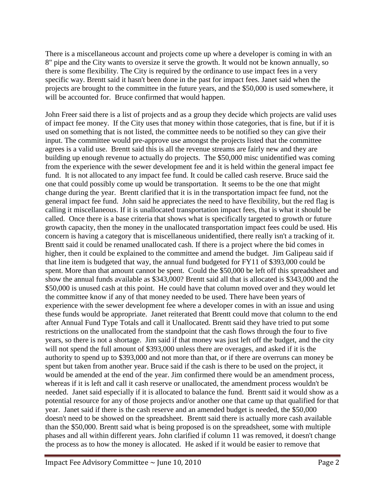There is a miscellaneous account and projects come up where a developer is coming in with an 8" pipe and the City wants to oversize it serve the growth. It would not be known annually, so there is some flexibility. The City is required by the ordinance to use impact fees in a very specific way. Brentt said it hasn't been done in the past for impact fees. Janet said when the projects are brought to the committee in the future years, and the \$50,000 is used somewhere, it will be accounted for. Bruce confirmed that would happen.

John Freer said there is a list of projects and as a group they decide which projects are valid uses of impact fee money. If the City uses that money within those categories, that is fine, but if it is used on something that is not listed, the committee needs to be notified so they can give their input. The committee would pre-approve use amongst the projects listed that the committee agrees is a valid use. Brentt said this is all the revenue streams are fairly new and they are building up enough revenue to actually do projects. The \$50,000 misc unidentified was coming from the experience with the sewer development fee and it is held within the general impact fee fund. It is not allocated to any impact fee fund. It could be called cash reserve. Bruce said the one that could possibly come up would be transportation. It seems to be the one that might change during the year. Brentt clarified that it is in the transportation impact fee fund, not the general impact fee fund. John said he appreciates the need to have flexibility, but the red flag is calling it miscellaneous. If it is unallocated transportation impact fees, that is what it should be called. Once there is a base criteria that shows what is specifically targeted to growth or future growth capacity, then the money in the unallocated transportation impact fees could be used. His concern is having a category that is miscellaneous unidentified, there really isn't a tracking of it. Brentt said it could be renamed unallocated cash. If there is a project where the bid comes in higher, then it could be explained to the committee and amend the budget. Jim Galipeau said if that line item is budgeted that way, the annual fund budgeted for FY11 of \$393,000 could be spent. More than that amount cannot be spent. Could the \$50,000 be left off this spreadsheet and show the annual funds available as \$343,000? Brentt said all that is allocated is \$343,000 and the \$50,000 is unused cash at this point. He could have that column moved over and they would let the committee know if any of that money needed to be used. There have been years of experience with the sewer development fee where a developer comes in with an issue and using these funds would be appropriate. Janet reiterated that Brentt could move that column to the end after Annual Fund Type Totals and call it Unallocated. Brentt said they have tried to put some restrictions on the unallocated from the standpoint that the cash flows through the four to five years, so there is not a shortage. Jim said if that money was just left off the budget, and the city will not spend the full amount of \$393,000 unless there are overages, and asked if it is the authority to spend up to \$393,000 and not more than that, or if there are overruns can money be spent but taken from another year. Bruce said if the cash is there to be used on the project, it would be amended at the end of the year. Jim confirmed there would be an amendment process, whereas if it is left and call it cash reserve or unallocated, the amendment process wouldn't be needed. Janet said especially if it is allocated to balance the fund. Brentt said it would show as a potential resource for any of those projects and/or another one that came up that qualified for that year. Janet said if there is the cash reserve and an amended budget is needed, the \$50,000 doesn't need to be showed on the spreadsheet. Brentt said there is actually more cash available than the \$50,000. Brentt said what is being proposed is on the spreadsheet, some with multiple phases and all within different years. John clarified if column 11 was removed, it doesn't change the process as to how the money is allocated. He asked if it would be easier to remove that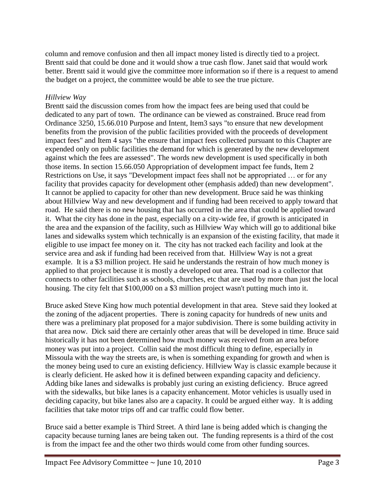column and remove confusion and then all impact money listed is directly tied to a project. Brentt said that could be done and it would show a true cash flow. Janet said that would work better. Brentt said it would give the committee more information so if there is a request to amend the budget on a project, the committee would be able to see the true picture.

## *Hillview Way*

Brentt said the discussion comes from how the impact fees are being used that could be dedicated to any part of town. The ordinance can be viewed as constrained. Bruce read from Ordinance 3250, 15.66.010 Purpose and Intent, Item3 says "to ensure that new development benefits from the provision of the public facilities provided with the proceeds of development impact fees" and Item 4 says "the ensure that impact fees collected pursuant to this Chapter are expended only on public facilities the demand for which is generated by the new development against which the fees are assessed". The words new development is used specifically in both those items. In section 15.66.050 Appropriation of development impact fee funds, Item 2 Restrictions on Use, it says "Development impact fees shall not be appropriated … or for any facility that provides capacity for development other (emphasis added) than new development". It cannot be applied to capacity for other than new development. Bruce said he was thinking about Hillview Way and new development and if funding had been received to apply toward that road. He said there is no new housing that has occurred in the area that could be applied toward it. What the city has done in the past, especially on a city-wide fee, if growth is anticipated in the area and the expansion of the facility, such as Hillview Way which will go to additional bike lanes and sidewalks system which technically is an expansion of the existing facility, that made it eligible to use impact fee money on it. The city has not tracked each facility and look at the service area and ask if funding had been received from that. Hillview Way is not a great example. It is a \$3 million project. He said he understands the restrain of how much money is applied to that project because it is mostly a developed out area. That road is a collector that connects to other facilities such as schools, churches, etc that are used by more than just the local housing. The city felt that \$100,000 on a \$3 million project wasn't putting much into it.

Bruce asked Steve King how much potential development in that area. Steve said they looked at the zoning of the adjacent properties. There is zoning capacity for hundreds of new units and there was a preliminary plat proposed for a major subdivision. There is some building activity in that area now. Dick said there are certainly other areas that will be developed in time. Bruce said historically it has not been determined how much money was received from an area before money was put into a project. Collin said the most difficult thing to define, especially in Missoula with the way the streets are, is when is something expanding for growth and when is the money being used to cure an existing deficiency. Hillview Way is classic example because it is clearly deficient. He asked how it is defined between expanding capacity and deficiency. Adding bike lanes and sidewalks is probably just curing an existing deficiency. Bruce agreed with the sidewalks, but bike lanes is a capacity enhancement. Motor vehicles is usually used in deciding capacity, but bike lanes also are a capacity. It could be argued either way. It is adding facilities that take motor trips off and car traffic could flow better.

Bruce said a better example is Third Street. A third lane is being added which is changing the capacity because turning lanes are being taken out. The funding represents is a third of the cost is from the impact fee and the other two thirds would come from other funding sources.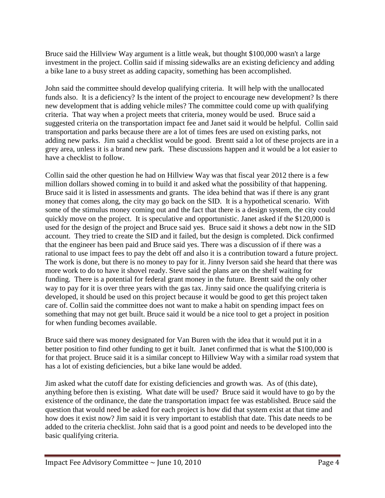Bruce said the Hillview Way argument is a little weak, but thought \$100,000 wasn't a large investment in the project. Collin said if missing sidewalks are an existing deficiency and adding a bike lane to a busy street as adding capacity, something has been accomplished.

John said the committee should develop qualifying criteria. It will help with the unallocated funds also. It is a deficiency? Is the intent of the project to encourage new development? Is there new development that is adding vehicle miles? The committee could come up with qualifying criteria. That way when a project meets that criteria, money would be used. Bruce said a suggested criteria on the transportation impact fee and Janet said it would be helpful. Collin said transportation and parks because there are a lot of times fees are used on existing parks, not adding new parks. Jim said a checklist would be good. Brentt said a lot of these projects are in a grey area, unless it is a brand new park. These discussions happen and it would be a lot easier to have a checklist to follow.

Collin said the other question he had on Hillview Way was that fiscal year 2012 there is a few million dollars showed coming in to build it and asked what the possibility of that happening. Bruce said it is listed in assessments and grants. The idea behind that was if there is any grant money that comes along, the city may go back on the SID. It is a hypothetical scenario. With some of the stimulus money coming out and the fact that there is a design system, the city could quickly move on the project. It is speculative and opportunistic. Janet asked if the \$120,000 is used for the design of the project and Bruce said yes. Bruce said it shows a debt now in the SID account. They tried to create the SID and it failed, but the design is completed. Dick confirmed that the engineer has been paid and Bruce said yes. There was a discussion of if there was a rational to use impact fees to pay the debt off and also it is a contribution toward a future project. The work is done, but there is no money to pay for it. Jinny Iverson said she heard that there was more work to do to have it shovel ready. Steve said the plans are on the shelf waiting for funding. There is a potential for federal grant money in the future. Brentt said the only other way to pay for it is over three years with the gas tax. Jinny said once the qualifying criteria is developed, it should be used on this project because it would be good to get this project taken care of. Collin said the committee does not want to make a habit on spending impact fees on something that may not get built. Bruce said it would be a nice tool to get a project in position for when funding becomes available.

Bruce said there was money designated for Van Buren with the idea that it would put it in a better position to find other funding to get it built. Janet confirmed that is what the \$100,000 is for that project. Bruce said it is a similar concept to Hillview Way with a similar road system that has a lot of existing deficiencies, but a bike lane would be added.

Jim asked what the cutoff date for existing deficiencies and growth was. As of (this date), anything before then is existing. What date will be used? Bruce said it would have to go by the existence of the ordinance, the date the transportation impact fee was established. Bruce said the question that would need be asked for each project is how did that system exist at that time and how does it exist now? Jim said it is very important to establish that date. This date needs to be added to the criteria checklist. John said that is a good point and needs to be developed into the basic qualifying criteria.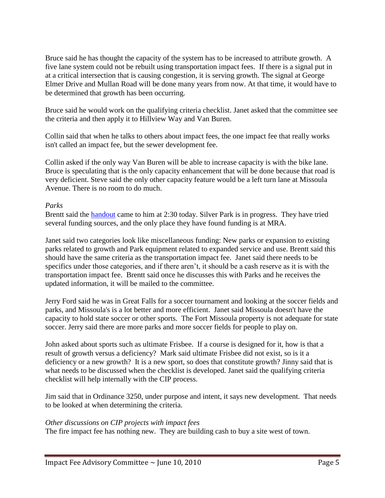Bruce said he has thought the capacity of the system has to be increased to attribute growth. A five lane system could not be rebuilt using transportation impact fees. If there is a signal put in at a critical intersection that is causing congestion, it is serving growth. The signal at George Elmer Drive and Mullan Road will be done many years from now. At that time, it would have to be determined that growth has been occurring.

Bruce said he would work on the qualifying criteria checklist. Janet asked that the committee see the criteria and then apply it to Hillview Way and Van Buren.

Collin said that when he talks to others about impact fees, the one impact fee that really works isn't called an impact fee, but the sewer development fee.

Collin asked if the only way Van Buren will be able to increase capacity is with the bike lane. Bruce is speculating that is the only capacity enhancement that will be done because that road is very deficient. Steve said the only other capacity feature would be a left turn lane at Missoula Avenue. There is no room to do much.

### *Parks*

Brentt said the **handout** came to him at 2:30 today. Silver Park is in progress. They have tried several funding sources, and the only place they have found funding is at MRA.

Janet said two categories look like miscellaneous funding: New parks or expansion to existing parks related to growth and Park equipment related to expanded service and use. Brentt said this should have the same criteria as the transportation impact fee. Janet said there needs to be specifics under those categories, and if there aren't, it should be a cash reserve as it is with the transportation impact fee. Brentt said once he discusses this with Parks and he receives the updated information, it will be mailed to the committee.

Jerry Ford said he was in Great Falls for a soccer tournament and looking at the soccer fields and parks, and Missoula's is a lot better and more efficient. Janet said Missoula doesn't have the capacity to hold state soccer or other sports. The Fort Missoula property is not adequate for state soccer. Jerry said there are more parks and more soccer fields for people to play on.

John asked about sports such as ultimate Frisbee. If a course is designed for it, how is that a result of growth versus a deficiency? Mark said ultimate Frisbee did not exist, so is it a deficiency or a new growth? It is a new sport, so does that constitute growth? Jinny said that is what needs to be discussed when the checklist is developed. Janet said the qualifying criteria checklist will help internally with the CIP process.

Jim said that in Ordinance 3250, under purpose and intent, it says new development. That needs to be looked at when determining the criteria.

#### *Other discussions on CIP projects with impact fees*

The fire impact fee has nothing new. They are building cash to buy a site west of town.